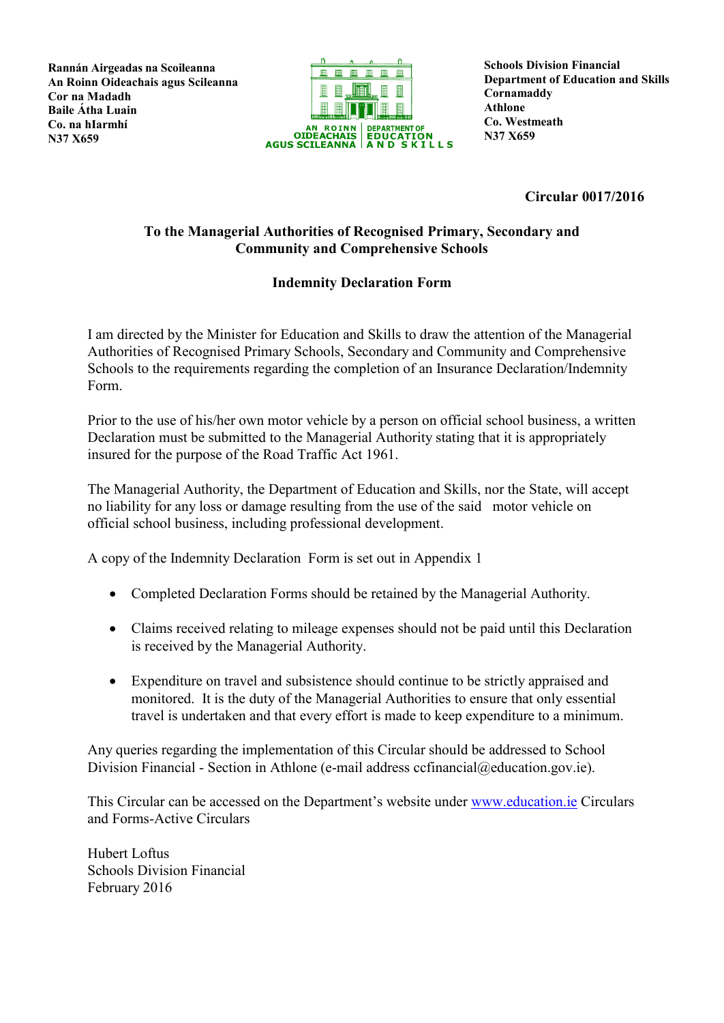**Rannán Airgeadas na Scoileanna An Roinn Oideachais agus Scileanna Cor na Madadh Baile Átha Luain Co. na hIarmhí N37 X659**



**Schools Division Financial Department of Education and Skills Cornamaddy Athlone Co. Westmeath N37 X659**

**Circular 0017/2016**

## **To the Managerial Authorities of Recognised Primary, Secondary and Community and Comprehensive Schools**

## **Indemnity Declaration Form**

I am directed by the Minister for Education and Skills to draw the attention of the Managerial Authorities of Recognised Primary Schools, Secondary and Community and Comprehensive Schools to the requirements regarding the completion of an Insurance Declaration/Indemnity Form.

Prior to the use of his/her own motor vehicle by a person on official school business, a written Declaration must be submitted to the Managerial Authority stating that it is appropriately insured for the purpose of the Road Traffic Act 1961.

The Managerial Authority, the Department of Education and Skills, nor the State, will accept no liability for any loss or damage resulting from the use of the said motor vehicle on official school business, including professional development.

A copy of the Indemnity Declaration Form is set out in Appendix 1

- Completed Declaration Forms should be retained by the Managerial Authority.
- Claims received relating to mileage expenses should not be paid until this Declaration is received by the Managerial Authority.
- Expenditure on travel and subsistence should continue to be strictly appraised and monitored. It is the duty of the Managerial Authorities to ensure that only essential travel is undertaken and that every effort is made to keep expenditure to a minimum.

Any queries regarding the implementation of this Circular should be addressed to School Division Financial - Section in Athlone (e-mail address ccfinancial@education.gov.ie).

This Circular can be accessed on the Department's website under [www.education.ie](http://www.education.ie/) Circulars and Forms-Active Circulars

Hubert Loftus Schools Division Financial February 2016